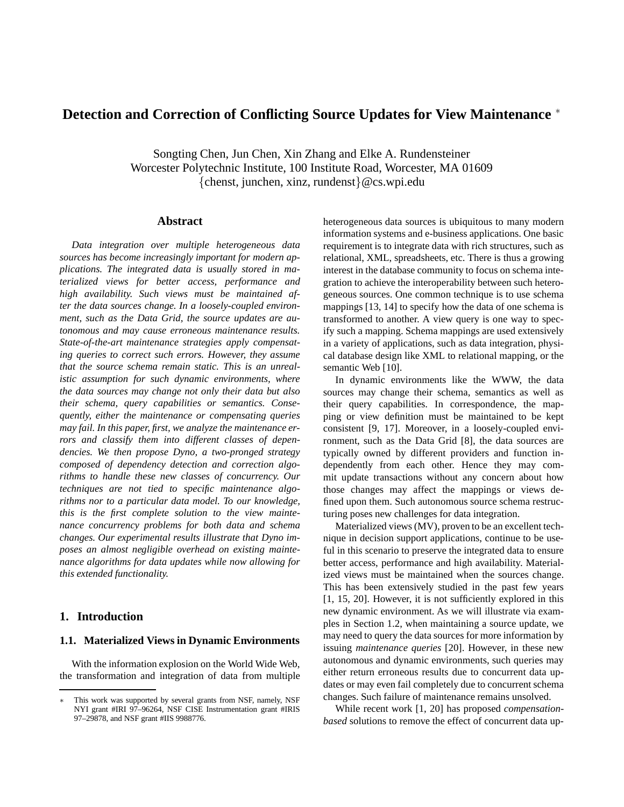# **Detection and Correction of Conflicting Source Updates for View Maintenance** <sup>∗</sup>

Songting Chen, Jun Chen, Xin Zhang and Elke A. Rundensteiner Worcester Polytechnic Institute, 100 Institute Road, Worcester, MA 01609 {chenst, junchen, xinz, rundenst}@cs.wpi.edu

### **Abstract**

*Data integration over multiple heterogeneous data sources has become increasingly important for modern applications. The integrated data is usually stored in materialized views for better access, performance and high availability. Such views must be maintained after the data sources change. In a loosely-coupled environment, such as the Data Grid, the source updates are autonomous and may cause erroneous maintenance results. State-of-the-art maintenance strategies apply compensating queries to correct such errors. However, they assume that the source schema remain static. This is an unrealistic assumption for such dynamic environments, where the data sources may change not only their data but also their schema, query capabilities or semantics. Consequently, either the maintenance or compensating queries may fail. In this paper, first, we analyze the maintenance errors and classify them into different classes of dependencies. We then propose Dyno, a two-pronged strategy composed of dependency detection and correction algorithms to handle these new classes of concurrency. Our techniques are not tied to specific maintenance algorithms nor to a particular data model. To our knowledge, this is the first complete solution to the view maintenance concurrency problems for both data and schema changes. Our experimental results illustrate that Dyno imposes an almost negligible overhead on existing maintenance algorithms for data updates while now allowing for this extended functionality.*

## **1. Introduction**

### **1.1. Materialized Views in Dynamic Environments**

With the information explosion on the World Wide Web, the transformation and integration of data from multiple heterogeneous data sources is ubiquitous to many modern information systems and e-business applications. One basic requirement is to integrate data with rich structures, such as relational, XML, spreadsheets, etc. There is thus a growing interest in the database community to focus on schema integration to achieve the interoperability between such heterogeneous sources. One common technique is to use schema mappings [13, 14] to specify how the data of one schema is transformed to another. A view query is one way to specify such a mapping. Schema mappings are used extensively in a variety of applications, such as data integration, physical database design like XML to relational mapping, or the semantic Web [10].

In dynamic environments like the WWW, the data sources may change their schema, semantics as well as their query capabilities. In correspondence, the mapping or view definition must be maintained to be kept consistent [9, 17]. Moreover, in a loosely-coupled environment, such as the Data Grid [8], the data sources are typically owned by different providers and function independently from each other. Hence they may commit update transactions without any concern about how those changes may affect the mappings or views defined upon them. Such autonomous source schema restructuring poses new challenges for data integration.

Materialized views (MV), proven to be an excellent technique in decision support applications, continue to be useful in this scenario to preserve the integrated data to ensure better access, performance and high availability. Materialized views must be maintained when the sources change. This has been extensively studied in the past few years [1, 15, 20]. However, it is not sufficiently explored in this new dynamic environment. As we will illustrate via examples in Section 1.2, when maintaining a source update, we may need to query the data sources for more information by issuing *maintenance queries* [20]. However, in these new autonomous and dynamic environments, such queries may either return erroneous results due to concurrent data updates or may even fail completely due to concurrent schema changes. Such failure of maintenance remains unsolved.

While recent work [1, 20] has proposed *compensationbased* solutions to remove the effect of concurrent data up-

This work was supported by several grants from NSF, namely, NSF NYI grant #IRI 97–96264, NSF CISE Instrumentation grant #IRIS 97–29878, and NSF grant #IIS 9988776.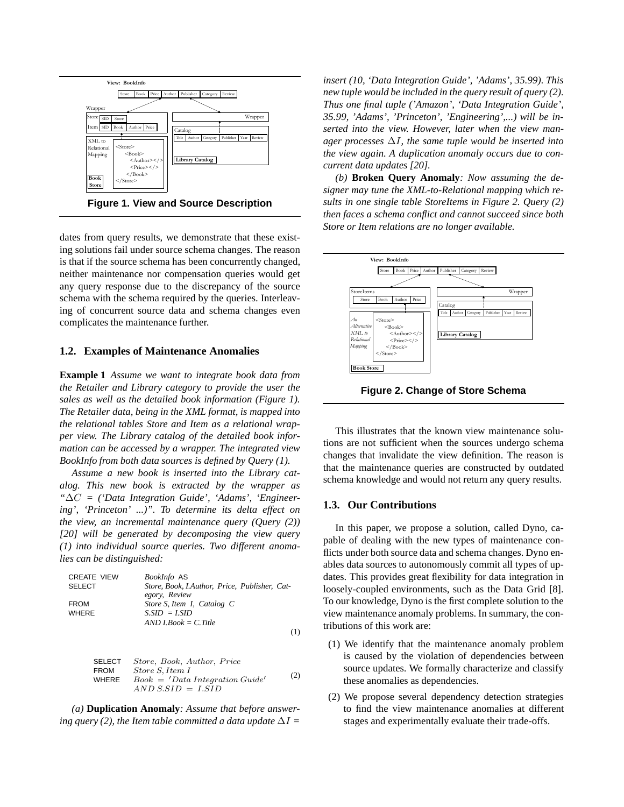

**Figure 1. View and Source Description**

dates from query results, we demonstrate that these existing solutions fail under source schema changes. The reason is that if the source schema has been concurrently changed, neither maintenance nor compensation queries would get any query response due to the discrepancy of the source schema with the schema required by the queries. Interleaving of concurrent source data and schema changes even complicates the maintenance further.

#### **1.2. Examples of Maintenance Anomalies**

**Example 1** *Assume we want to integrate book data from the Retailer and Library category to provide the user the sales as well as the detailed book information (Figure 1). The Retailer data, being in the XML format, is mapped into the relational tables Store and Item as a relational wrapper view. The Library catalog of the detailed book information can be accessed by a wrapper. The integrated view BookInfo from both data sources is defined by Query (1).*

*Assume a new book is inserted into the Library catalog. This new book is extracted by the wrapper as "*∆C *= ('Data Integration Guide', 'Adams', 'Engineering', 'Princeton' ...)". To determine its delta effect on the view, an incremental maintenance query (Query (2)) [20] will be generated by decomposing the view query (1) into individual source queries. Two different anomalies can be distinguished:*

CREATE VIEW *BookInfo* AS SELECT *Store, Book, I.Author, Price, Publisher, Category, Review* FROM *Store S, Item I, Catalog C* WHERE *S.SID = I.SID AND I.Book = C.Title* (1)

SELECT Store, Book, Author, Price FROM Store S, Item I WHERE Book = <sup>0</sup>Data Integration Guide<sup>0</sup> AND S.SID = I.SID (2)

*(a)* **Duplication Anomaly***: Assume that before answering query* (2), *the Item table committed a data update*  $\Delta I =$ 

*insert (10, 'Data Integration Guide', 'Adams', 35.99). This new tuple would be included in the query result of query (2). Thus one final tuple ('Amazon', 'Data Integration Guide', 35.99, 'Adams', 'Princeton', 'Engineering',...) will be inserted into the view. However, later when the view manager processes* ∆I*, the same tuple would be inserted into the view again. A duplication anomaly occurs due to concurrent data updates [20].*

*(b)* **Broken Query Anomaly***: Now assuming the designer may tune the XML-to-Relational mapping which results in one single table StoreItems in Figure 2. Query (2) then faces a schema conflict and cannot succeed since both Store or Item relations are no longer available.*



**Figure 2. Change of Store Schema**

This illustrates that the known view maintenance solutions are not sufficient when the sources undergo schema changes that invalidate the view definition. The reason is that the maintenance queries are constructed by outdated schema knowledge and would not return any query results.

#### **1.3. Our Contributions**

In this paper, we propose a solution, called Dyno, capable of dealing with the new types of maintenance conflicts under both source data and schema changes. Dyno enables data sources to autonomously commit all types of updates. This provides great flexibility for data integration in loosely-coupled environments, such as the Data Grid [8]. To our knowledge, Dyno is the first complete solution to the view maintenance anomaly problems. In summary, the contributions of this work are:

- (1) We identify that the maintenance anomaly problem is caused by the violation of dependencies between source updates. We formally characterize and classify these anomalies as dependencies.
- (2) We propose several dependency detection strategies to find the view maintenance anomalies at different stages and experimentally evaluate their trade-offs.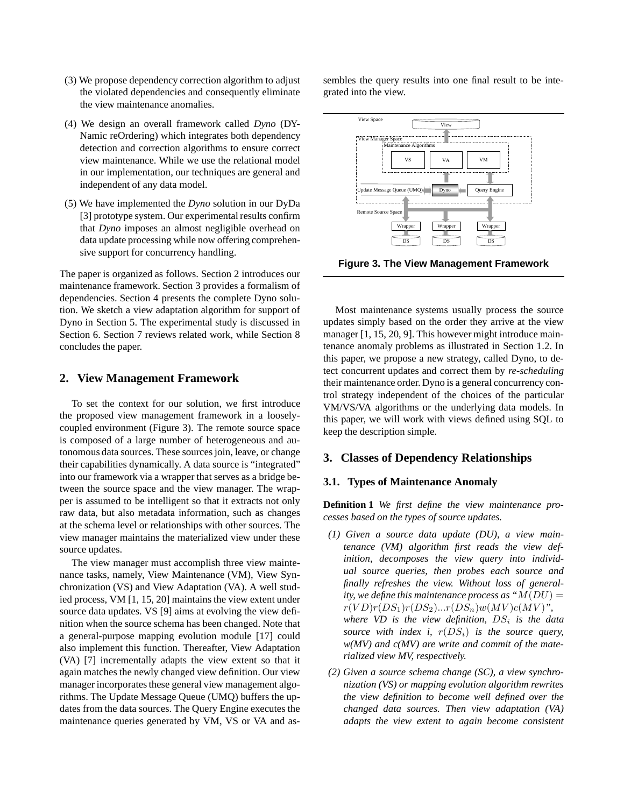- (3) We propose dependency correction algorithm to adjust the violated dependencies and consequently eliminate the view maintenance anomalies.
- (4) We design an overall framework called *Dyno* (DY-Namic reOrdering) which integrates both dependency detection and correction algorithms to ensure correct view maintenance. While we use the relational model in our implementation, our techniques are general and independent of any data model.
- (5) We have implemented the *Dyno* solution in our DyDa [3] prototype system. Our experimental results confirm that *Dyno* imposes an almost negligible overhead on data update processing while now offering comprehensive support for concurrency handling.

The paper is organized as follows. Section 2 introduces our maintenance framework. Section 3 provides a formalism of dependencies. Section 4 presents the complete Dyno solution. We sketch a view adaptation algorithm for support of Dyno in Section 5. The experimental study is discussed in Section 6. Section 7 reviews related work, while Section 8 concludes the paper.

### **2. View Management Framework**

To set the context for our solution, we first introduce the proposed view management framework in a looselycoupled environment (Figure 3). The remote source space is composed of a large number of heterogeneous and autonomous data sources. These sources join, leave, or change their capabilities dynamically. A data source is "integrated" into our framework via a wrapper that serves as a bridge between the source space and the view manager. The wrapper is assumed to be intelligent so that it extracts not only raw data, but also metadata information, such as changes at the schema level or relationships with other sources. The view manager maintains the materialized view under these source updates.

The view manager must accomplish three view maintenance tasks, namely, View Maintenance (VM), View Synchronization (VS) and View Adaptation (VA). A well studied process, VM [1, 15, 20] maintains the view extent under source data updates. VS [9] aims at evolving the view definition when the source schema has been changed. Note that a general-purpose mapping evolution module [17] could also implement this function. Thereafter, View Adaptation (VA) [7] incrementally adapts the view extent so that it again matches the newly changed view definition. Our view manager incorporates these general view management algorithms. The Update Message Queue (UMQ) buffers the updates from the data sources. The Query Engine executes the maintenance queries generated by VM, VS or VA and as-

sembles the query results into one final result to be integrated into the view.



**Figure 3. The View Management Framework**

Most maintenance systems usually process the source updates simply based on the order they arrive at the view manager [1, 15, 20, 9]. This however might introduce maintenance anomaly problems as illustrated in Section 1.2. In this paper, we propose a new strategy, called Dyno, to detect concurrent updates and correct them by *re-scheduling* their maintenance order. Dyno is a general concurrency control strategy independent of the choices of the particular VM/VS/VA algorithms or the underlying data models. In this paper, we will work with views defined using SQL to keep the description simple.

### **3. Classes of Dependency Relationships**

### **3.1. Types of Maintenance Anomaly**

**Definition 1** *We first define the view maintenance processes based on the types of source updates.*

- *(1) Given a source data update (DU), a view maintenance (VM) algorithm first reads the view definition, decomposes the view query into individual source queries, then probes each source and finally refreshes the view. Without loss of generality, we define this maintenance process as*  $M(DU) =$  $r(VD)r(DS_1)r(DS_2)...r(DS_n)w(MV)c(MV)$ ", where  $VD$  is the view definition,  $DS_i$  is the data *source* with *index i,*  $r(DS_i)$  *is the source query, w(MV) and c(MV) are write and commit of the materialized view MV, respectively.*
- *(2) Given a source schema change (SC), a view synchronization (VS) or mapping evolution algorithm rewrites the view definition to become well defined over the changed data sources. Then view adaptation (VA) adapts the view extent to again become consistent*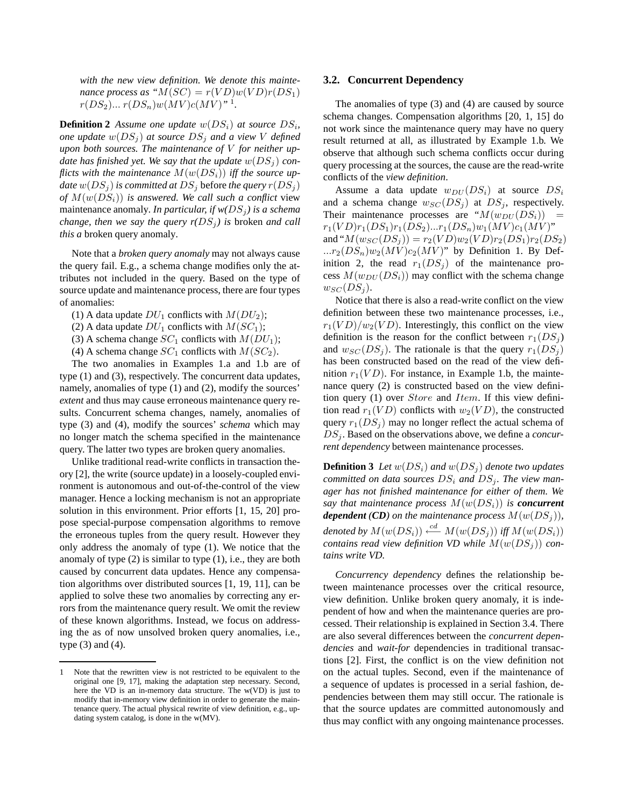*with the new view definition. We denote this maintenance* process as " $M(SC) = r(VD)w(VD)r(DS_1)$  $r(DS_2) ... r(DS_n)w(MV)c(MV)^{n-1}.$ 

**Definition 2** Assume one update  $w(DS_i)$  at source  $DS_i$ , *one update*  $w(DS_i)$  *at source*  $DS_i$  *and a view V defined upon both sources. The maintenance of* V *for neither update* has finished yet. We say that the update  $w(DS_i)$  con*flicts* with the maintenance  $M(w(DS_i))$  iff the source up*date*  $w(DS_i)$  *is committed at*  $DS_i$  before *the query*  $r(DS_i)$ of  $M(w(DS_i))$  *is answered. We call such a conflict view* maintenance anomaly. In particular, if  $w(DS_i)$  is a schema *change, then we say the query*  $r(DS_i)$  *is broken and call this a* broken query anomaly*.*

Note that a *broken query anomaly* may not always cause the query fail. E.g., a schema change modifies only the attributes not included in the query. Based on the type of source update and maintenance process, there are four types of anomalies:

- (1) A data update  $DU_1$  conflicts with  $M(DU_2)$ ;
- (2) A data update  $DU_1$  conflicts with  $M(SC_1)$ ;
- (3) A schema change  $SC_1$  conflicts with  $M(DU_1)$ ;
- (4) A schema change  $SC_1$  conflicts with  $M(SC_2)$ .

The two anomalies in Examples 1.a and 1.b are of type (1) and (3), respectively. The concurrent data updates, namely, anomalies of type (1) and (2), modify the sources' *extent* and thus may cause erroneous maintenance query results. Concurrent schema changes, namely, anomalies of type (3) and (4), modify the sources' *schema* which may no longer match the schema specified in the maintenance query. The latter two types are broken query anomalies.

Unlike traditional read-write conflicts in transaction theory [2], the write (source update) in a loosely-coupled environment is autonomous and out-of-the-control of the view manager. Hence a locking mechanism is not an appropriate solution in this environment. Prior efforts [1, 15, 20] propose special-purpose compensation algorithms to remove the erroneous tuples from the query result. However they only address the anomaly of type (1). We notice that the anomaly of type (2) is similar to type (1), i.e., they are both caused by concurrent data updates. Hence any compensation algorithms over distributed sources [1, 19, 11], can be applied to solve these two anomalies by correcting any errors from the maintenance query result. We omit the review of these known algorithms. Instead, we focus on addressing the as of now unsolved broken query anomalies, i.e., type (3) and (4).

#### **3.2. Concurrent Dependency**

The anomalies of type (3) and (4) are caused by source schema changes. Compensation algorithms [20, 1, 15] do not work since the maintenance query may have no query result returned at all, as illustrated by Example 1.b. We observe that although such schema conflicts occur during query processing at the sources, the cause are the read-write conflicts of the *view definition*.

Assume a data update  $w_{DU}(DS_i)$  at source  $DS_i$ and a schema change  $w_{SC}(DS_i)$  at  $DS_i$ , respectively. Their maintenance processes are " $M(w_{DU}(DS_i))$ "  $r_1(VD)r_1(DS_1)r_1(DS_2)...r_1(DS_n)w_1(MV)c_1(MV)"$ and " $M(w_{SC}(DS_j)) = r_2(VD)w_2(VD)r_2(DS_1)r_2(DS_2)$ ... $r_2(DS_n)w_2(MV)c_2(MV)$ " by Definition 1. By Definition 2, the read  $r_1(DS_j)$  of the maintenance process  $M(w_{DU}(DS_i))$  may conflict with the schema change  $w_{SC}(DS_i)$ .

Notice that there is also a read-write conflict on the view definition between these two maintenance processes, i.e.,  $r_1(VD)/w_2(VD)$ . Interestingly, this conflict on the view definition is the reason for the conflict between  $r_1(DS_i)$ and  $w_{SC}(DS_i)$ . The rationale is that the query  $r_1(DS_i)$ has been constructed based on the read of the view definition  $r_1(VD)$ . For instance, in Example 1.b, the maintenance query (2) is constructed based on the view definition query (1) over *Store* and *Item*. If this view definition read  $r_1(VD)$  conflicts with  $w_2(VD)$ , the constructed query  $r_1(DS_i)$  may no longer reflect the actual schema of DS<sub>i</sub>. Based on the observations above, we define a *concurrent dependency* between maintenance processes.

**Definition 3** Let  $w(DS_i)$  and  $w(DS_j)$  denote two updates *committed on data sources*  $DS_i$  *and*  $DS_j$ *. The view manager has not finished maintenance for either of them. We say that maintenance process*  $M(w(DS_i))$  *is concurrent dependent (CD) on the maintenance process*  $M(w(DS_i))$ *, denoted by*  $M(w(DS_i)) \stackrel{cd}{\longleftarrow} M(w(DS_j))$  *iff*  $M(w(DS_i))$ *contains read view definition VD while*  $M(w(DS_i))$  *contains write VD.*

*Concurrency dependency* defines the relationship between maintenance processes over the critical resource, view definition. Unlike broken query anomaly, it is independent of how and when the maintenance queries are processed. Their relationship is explained in Section 3.4. There are also several differences between the *concurrent dependencies* and *wait-for* dependencies in traditional transactions [2]. First, the conflict is on the view definition not on the actual tuples. Second, even if the maintenance of a sequence of updates is processed in a serial fashion, dependencies between them may still occur. The rationale is that the source updates are committed autonomously and thus may conflict with any ongoing maintenance processes.

<sup>1</sup> Note that the rewritten view is not restricted to be equivalent to the original one [9, 17], making the adaptation step necessary. Second, here the VD is an in-memory data structure. The w(VD) is just to modify that in-memory view definition in order to generate the maintenance query. The actual physical rewrite of view definition, e.g., updating system catalog, is done in the w(MV).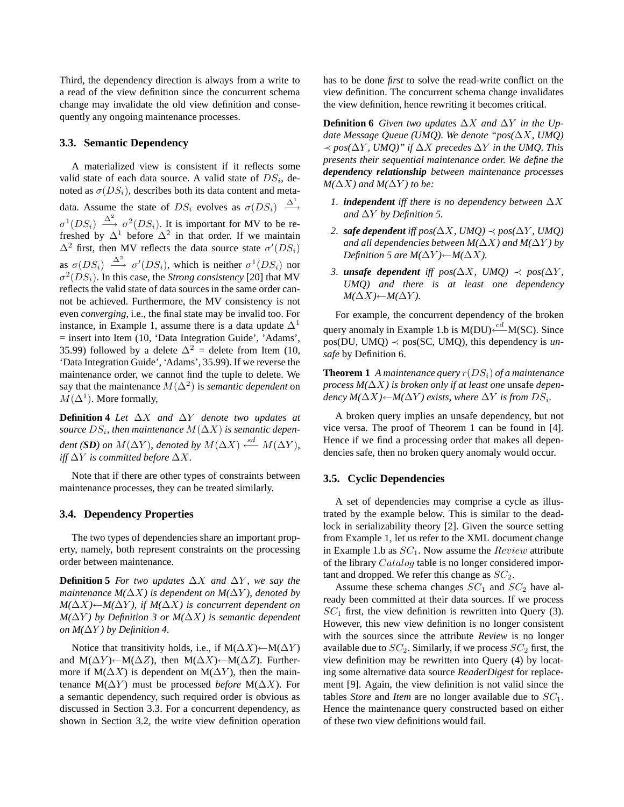Third, the dependency direction is always from a write to a read of the view definition since the concurrent schema change may invalidate the old view definition and consequently any ongoing maintenance processes.

#### **3.3. Semantic Dependency**

A materialized view is consistent if it reflects some valid state of each data source. A valid state of  $DS_i$ , denoted as  $\sigma(DS_i)$ , describes both its data content and metadata. Assume the state of  $DS_i$  evolves as  $\sigma(DS_i) \stackrel{\Delta^1}{\longrightarrow}$  $\sigma^1(DS_i) \stackrel{\Delta^2}{\longrightarrow} \sigma^2(DS_i)$ . It is important for MV to be refreshed by  $\Delta^1$  before  $\Delta^2$  in that order. If we maintain  $\Delta^2$  first, then MV reflects the data source state  $\sigma'(DS_i)$ as  $\sigma(DS_i) \stackrel{\Delta^2}{\longrightarrow} \sigma'(DS_i)$ , which is neither  $\sigma^1(DS_i)$  nor  $\sigma^2(DS_i)$ . In this case, the *Strong consistency* [20] that MV reflects the valid state of data sources in the same order cannot be achieved. Furthermore, the MV consistency is not even *converging*, i.e., the final state may be invalid too. For instance, in Example 1, assume there is a data update  $\Delta$ <sup>1</sup> = insert into Item (10, 'Data Integration Guide', 'Adams', 35.99) followed by a delete  $\Delta^2$  = delete from Item (10, 'Data Integration Guide', 'Adams', 35.99). If we reverse the maintenance order, we cannot find the tuple to delete. We say that the maintenance  $M(\Delta^2)$  is *semantic dependent* on  $M(\Delta^1)$ . More formally,

**Definition 4** *Let* ∆X *and* ∆Y *denote two updates at*  $\mathit{source}\ DS_i,$  then maintenance  $M(\Delta X)$  is semantic depen $d$ *ent* (*SD*) on  $M(\Delta Y)$ , denoted by  $M(\Delta X) \stackrel{sd}{\longleftarrow} M(\Delta Y)$ , *iff*  $\Delta Y$  *is committed before*  $\Delta X$ *.* 

Note that if there are other types of constraints between maintenance processes, they can be treated similarly.

### **3.4. Dependency Properties**

The two types of dependencies share an important property, namely, both represent constraints on the processing order between maintenance.

**Definition 5** For two updates  $\Delta X$  and  $\Delta Y$ , we say the *maintenance*  $M(\Delta X)$  *is dependent on*  $M(\Delta Y)$ *, denoted by M*( $\Delta X$ )←*M*( $\Delta Y$ )*, if M*( $\Delta X$ ) *is concurrent dependent on M(*∆Y *) by Definition 3 or M(*∆X*) is semantic dependent on*  $M(\Delta Y)$  *by Definition 4.* 

Notice that transitivity holds, i.e., if  $M(\Delta X) \leftarrow M(\Delta Y)$ and M( $\Delta Y$ )←M( $\Delta Z$ ), then M( $\Delta X$ )←M( $\Delta Z$ ). Furthermore if  $M(\Delta X)$  is dependent on  $M(\Delta Y)$ , then the maintenance  $M(\Delta Y)$  must be processed *before*  $M(\Delta X)$ . For a semantic dependency, such required order is obvious as discussed in Section 3.3. For a concurrent dependency, as shown in Section 3.2, the write view definition operation has to be done *first* to solve the read-write conflict on the view definition. The concurrent schema change invalidates the view definition, hence rewriting it becomes critical.

**Definition 6** Given two updates  $\Delta X$  and  $\Delta Y$  in the Up*date Message Queue (UMQ). We denote "pos(* $\Delta X$ *, UMQ)* ≺ *pos(*∆Y *, UMQ)" if* ∆X *precedes* ∆Y *in the UMQ. This presents their sequential maintenance order. We define the dependency relationship between maintenance processes*  $M(\Delta X)$  *and*  $M(\Delta Y)$  *to be:* 

- *1. independent iff there is no dependency between* ∆X  $and ∆Y$  *by Definition* 5.
- *2. safe dependent iff pos(*∆X*, UMQ)* ≺ *pos(*∆Y *, UMQ) and all dependencies between*  $M(\Delta X)$  *and*  $M(\Delta Y)$  *by Definition 5 are*  $M(\Delta Y) \leftarrow M(\Delta X)$ .
- *3. unsafe dependent iff*  $pos(\Delta X, \text{ UMQ}) \prec pos(\Delta Y, \text{ EMO})$ *UMQ) and there is at least one dependency M*( $\Delta X$ )←*M*( $\Delta Y$ ).

For example, the concurrent dependency of the broken query anomaly in Example 1.b is M(DU)  $\frac{cd}{c}$ M(SC). Since pos(DU, UMQ)  $\prec$  pos(SC, UMQ), this dependency is *unsafe* by Definition 6.

**Theorem 1** A maintenance query  $r(DS_i)$  of a maintenance *process*  $M(\Delta X)$  *is broken only if at least one* unsafe *depen* $d$ *ency*  $M(\Delta X) \leftarrow M(\Delta Y)$  *exists, where*  $\Delta Y$  *is from*  $DS_i$ *.* 

A broken query implies an unsafe dependency, but not vice versa. The proof of Theorem 1 can be found in [4]. Hence if we find a processing order that makes all dependencies safe, then no broken query anomaly would occur.

#### **3.5. Cyclic Dependencies**

A set of dependencies may comprise a cycle as illustrated by the example below. This is similar to the deadlock in serializability theory [2]. Given the source setting from Example 1, let us refer to the XML document change in Example 1.b as  $SC_1$ . Now assume the  $Review$  attribute of the library Catalog table is no longer considered important and dropped. We refer this change as  $SC_2$ .

Assume these schema changes  $SC_1$  and  $SC_2$  have already been committed at their data sources. If we process  $SC<sub>1</sub>$  first, the view definition is rewritten into Query (3). However, this new view definition is no longer consistent with the sources since the attribute *Review* is no longer available due to  $SC_2$ . Similarly, if we process  $SC_2$  first, the view definition may be rewritten into Query (4) by locating some alternative data source *ReaderDigest* for replacement [9]. Again, the view definition is not valid since the tables *Store* and *Item* are no longer available due to  $SC_1$ . Hence the maintenance query constructed based on either of these two view definitions would fail.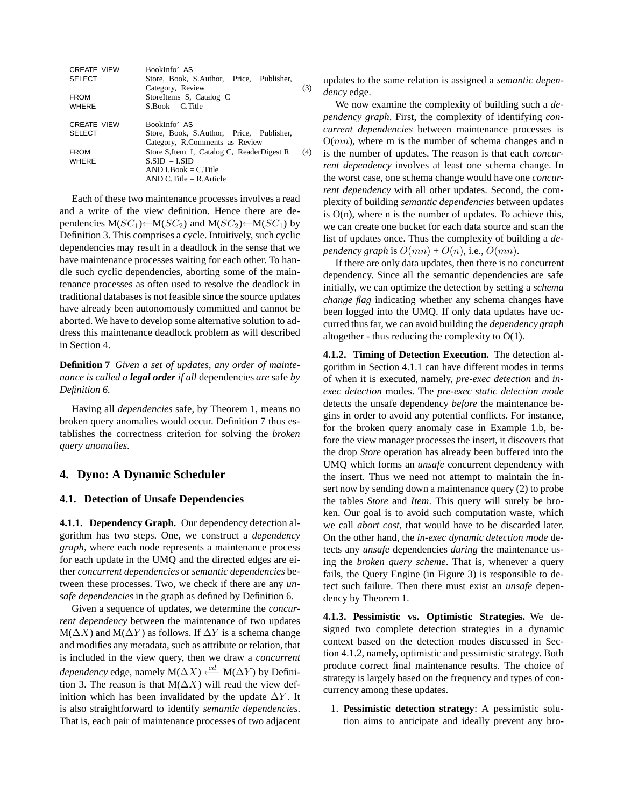| <b>CREATE VIEW</b><br><b>SELECT</b><br><b>FROM</b><br><b>WHERE</b> | BookInfo' AS<br>Store, Book, S.Author, Price, Publisher,<br>Category, Review<br>StoreItems S, Catalog C<br>$S_{\cdot}$ Book = C. Title                                                                                | (3) |
|--------------------------------------------------------------------|-----------------------------------------------------------------------------------------------------------------------------------------------------------------------------------------------------------------------|-----|
| <b>CREATE VIEW</b><br><b>SELECT</b><br><b>FROM</b><br><b>WHERE</b> | BookInfo' AS<br>Store, Book, S.Author, Price, Publisher,<br>Category, R.Comments as Review<br>Store S, Item I, Catalog C, ReaderDigest R<br>$S.SID = LSID$<br>$AND I. Book = C. Title$<br>$AND C. Title = R. Article$ | (4) |

Each of these two maintenance processes involves a read and a write of the view definition. Hence there are dependencies  $M(SC_1) \leftarrow M(SC_2)$  and  $M(SC_2) \leftarrow M(SC_1)$  by Definition 3. This comprises a cycle. Intuitively, such cyclic dependencies may result in a deadlock in the sense that we have maintenance processes waiting for each other. To handle such cyclic dependencies, aborting some of the maintenance processes as often used to resolve the deadlock in traditional databases is not feasible since the source updates have already been autonomously committed and cannot be aborted. We have to develop some alternative solution to address this maintenance deadlock problem as will described in Section 4.

**Definition 7** *Given a set of updates, any order of maintenance is called a legal order if all* dependencies *are* safe *by Definition 6.*

Having all *dependencies* safe, by Theorem 1, means no broken query anomalies would occur. Definition 7 thus establishes the correctness criterion for solving the *broken query anomalies*.

### **4. Dyno: A Dynamic Scheduler**

#### **4.1. Detection of Unsafe Dependencies**

**4.1.1. Dependency Graph.** Our dependency detection algorithm has two steps. One, we construct a *dependency graph*, where each node represents a maintenance process for each update in the UMQ and the directed edges are either *concurrent dependencies* or *semantic dependencies* between these processes. Two, we check if there are any *unsafe dependencies* in the graph as defined by Definition 6.

Given a sequence of updates, we determine the *concurrent dependency* between the maintenance of two updates  $M(\Delta X)$  and  $M(\Delta Y)$  as follows. If  $\Delta Y$  is a schema change and modifies any metadata, such as attribute or relation, that is included in the view query, then we draw a *concurrent dependency* edge, namely M( $\Delta X$ )  $\stackrel{cd}{\longleftarrow}$  M( $\Delta Y$ ) by Definition 3. The reason is that  $M(\Delta X)$  will read the view definition which has been invalidated by the update  $\Delta Y$ . It is also straightforward to identify *semantic dependencies*. That is, each pair of maintenance processes of two adjacent

updates to the same relation is assigned a *semantic dependency* edge.

We now examine the complexity of building such a *dependency graph*. First, the complexity of identifying *concurrent dependencies* between maintenance processes is  $O(mn)$ , where m is the number of schema changes and n is the number of updates. The reason is that each *concurrent dependency* involves at least one schema change. In the worst case, one schema change would have one *concurrent dependency* with all other updates. Second, the complexity of building *semantic dependencies* between updates is  $O(n)$ , where n is the number of updates. To achieve this, we can create one bucket for each data source and scan the list of updates once. Thus the complexity of building a *dependency graph* is  $O(mn) + O(n)$ , i.e.,  $O(mn)$ .

If there are only data updates, then there is no concurrent dependency. Since all the semantic dependencies are safe initially, we can optimize the detection by setting a *schema change flag* indicating whether any schema changes have been logged into the UMQ. If only data updates have occurred thus far, we can avoid building the *dependency graph* altogether - thus reducing the complexity to  $O(1)$ .

**4.1.2. Timing of Detection Execution.** The detection algorithm in Section 4.1.1 can have different modes in terms of when it is executed, namely, *pre-exec detection* and *inexec detection* modes. The *pre-exec static detection mode* detects the unsafe dependency *before* the maintenance begins in order to avoid any potential conflicts. For instance, for the broken query anomaly case in Example 1.b, before the view manager processes the insert, it discovers that the drop *Store* operation has already been buffered into the UMQ which forms an *unsafe* concurrent dependency with the insert. Thus we need not attempt to maintain the insert now by sending down a maintenance query (2) to probe the tables *Store* and *Item*. This query will surely be broken. Our goal is to avoid such computation waste, which we call *abort cost*, that would have to be discarded later. On the other hand, the *in-exec dynamic detection mode* detects any *unsafe* dependencies *during* the maintenance using the *broken query scheme*. That is, whenever a query fails, the Query Engine (in Figure 3) is responsible to detect such failure. Then there must exist an *unsafe* dependency by Theorem 1.

**4.1.3. Pessimistic vs. Optimistic Strategies.** We designed two complete detection strategies in a dynamic context based on the detection modes discussed in Section 4.1.2, namely, optimistic and pessimistic strategy. Both produce correct final maintenance results. The choice of strategy is largely based on the frequency and types of concurrency among these updates.

1. **Pessimistic detection strategy**: A pessimistic solution aims to anticipate and ideally prevent any bro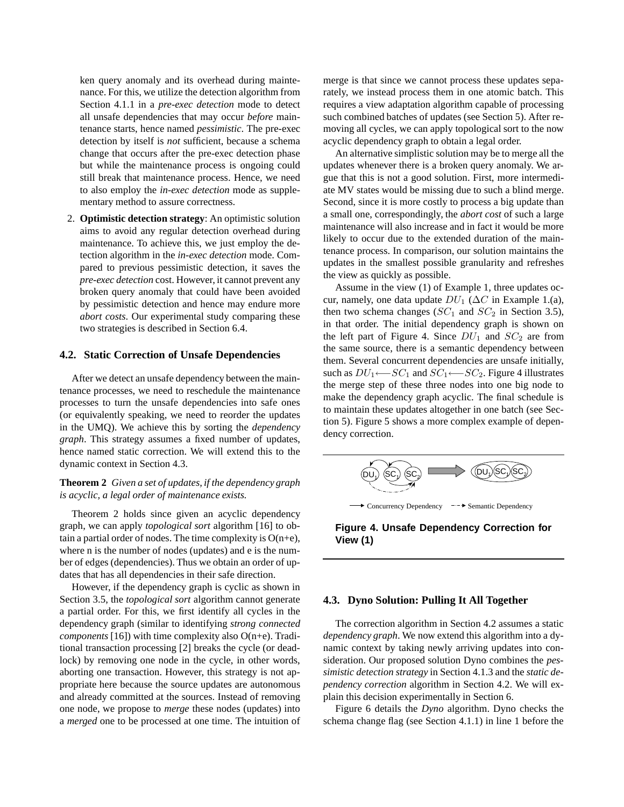ken query anomaly and its overhead during maintenance. For this, we utilize the detection algorithm from Section 4.1.1 in a *pre-exec detection* mode to detect all unsafe dependencies that may occur *before* maintenance starts, hence named *pessimistic*. The pre-exec detection by itself is *not* sufficient, because a schema change that occurs after the pre-exec detection phase but while the maintenance process is ongoing could still break that maintenance process. Hence, we need to also employ the *in-exec detection* mode as supplementary method to assure correctness.

2. **Optimistic detection strategy**: An optimistic solution aims to avoid any regular detection overhead during maintenance. To achieve this, we just employ the detection algorithm in the *in-exec detection* mode. Compared to previous pessimistic detection, it saves the *pre-exec detection* cost. However, it cannot prevent any broken query anomaly that could have been avoided by pessimistic detection and hence may endure more *abort costs*. Our experimental study comparing these two strategies is described in Section 6.4.

#### **4.2. Static Correction of Unsafe Dependencies**

After we detect an unsafe dependency between the maintenance processes, we need to reschedule the maintenance processes to turn the unsafe dependencies into safe ones (or equivalently speaking, we need to reorder the updates in the UMQ). We achieve this by sorting the *dependency graph*. This strategy assumes a fixed number of updates, hence named static correction. We will extend this to the dynamic context in Section 4.3.

**Theorem 2** *Given a set of updates, if the dependency graph is acyclic, a legal order of maintenance exists.*

Theorem 2 holds since given an acyclic dependency graph, we can apply *topological sort* algorithm [16] to obtain a partial order of nodes. The time complexity is  $O(n+e)$ , where n is the number of nodes (updates) and e is the number of edges (dependencies). Thus we obtain an order of updates that has all dependencies in their safe direction.

However, if the dependency graph is cyclic as shown in Section 3.5, the *topological sort* algorithm cannot generate a partial order. For this, we first identify all cycles in the dependency graph (similar to identifying *strong connected components* [16]) with time complexity also O(n+e). Traditional transaction processing [2] breaks the cycle (or deadlock) by removing one node in the cycle, in other words, aborting one transaction. However, this strategy is not appropriate here because the source updates are autonomous and already committed at the sources. Instead of removing one node, we propose to *merge* these nodes (updates) into a *merged* one to be processed at one time. The intuition of

merge is that since we cannot process these updates separately, we instead process them in one atomic batch. This requires a view adaptation algorithm capable of processing such combined batches of updates (see Section 5). After removing all cycles, we can apply topological sort to the now acyclic dependency graph to obtain a legal order.

An alternative simplistic solution may be to merge all the updates whenever there is a broken query anomaly. We argue that this is not a good solution. First, more intermediate MV states would be missing due to such a blind merge. Second, since it is more costly to process a big update than a small one, correspondingly, the *abort cost* of such a large maintenance will also increase and in fact it would be more likely to occur due to the extended duration of the maintenance process. In comparison, our solution maintains the updates in the smallest possible granularity and refreshes the view as quickly as possible.

Assume in the view (1) of Example 1, three updates occur, namely, one data update  $DU_1$  ( $\Delta C$  in Example 1.(a), then two schema changes ( $SC_1$  and  $SC_2$  in Section 3.5), in that order. The initial dependency graph is shown on the left part of Figure 4. Since  $DU_1$  and  $SC_2$  are from the same source, there is a semantic dependency between them. Several concurrent dependencies are unsafe initially, such as  $DU_1 \leftarrow SC_1$  and  $SC_1 \leftarrow SC_2$ . Figure 4 illustrates the merge step of these three nodes into one big node to make the dependency graph acyclic. The final schedule is to maintain these updates altogether in one batch (see Section 5). Figure 5 shows a more complex example of dependency correction.



**Figure 4. Unsafe Dependency Correction for View (1)**

#### **4.3. Dyno Solution: Pulling It All Together**

The correction algorithm in Section 4.2 assumes a static *dependency graph*. We now extend this algorithm into a dynamic context by taking newly arriving updates into consideration. Our proposed solution Dyno combines the *pessimistic detection strategy* in Section 4.1.3 and the *static dependency correction* algorithm in Section 4.2. We will explain this decision experimentally in Section 6.

Figure 6 details the *Dyno* algorithm. Dyno checks the schema change flag (see Section 4.1.1) in line 1 before the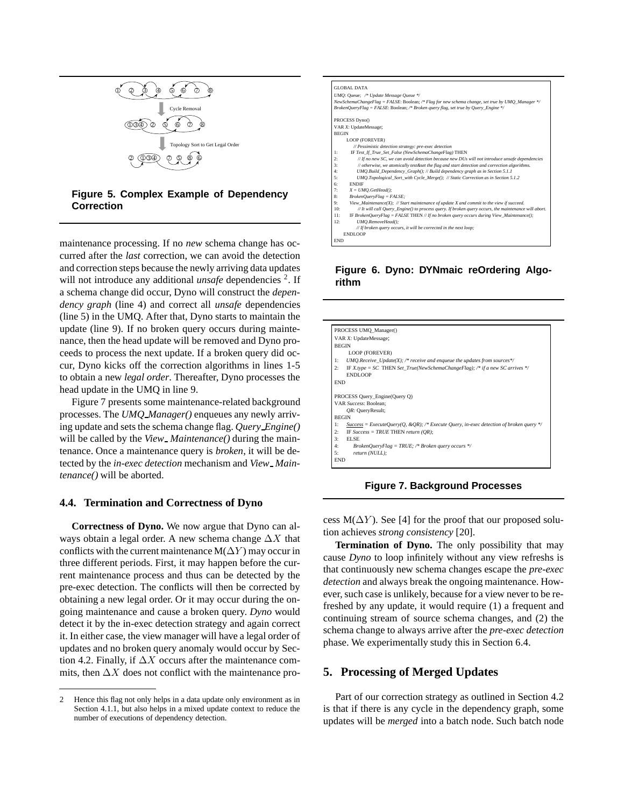

### **Figure 5. Complex Example of Dependency Correction**

maintenance processing. If no *new* schema change has occurred after the *last* correction, we can avoid the detection and correction steps because the newly arriving data updates will not introduce any additional *unsafe* dependencies <sup>2</sup>. If a schema change did occur, Dyno will construct the *dependency graph* (line 4) and correct all *unsafe* dependencies (line 5) in the UMQ. After that, Dyno starts to maintain the update (line 9). If no broken query occurs during maintenance, then the head update will be removed and Dyno proceeds to process the next update. If a broken query did occur, Dyno kicks off the correction algorithms in lines 1-5 to obtain a new *legal order*. Thereafter, Dyno processes the head update in the UMQ in line 9.

Figure 7 presents some maintenance-related background processes. The *UMQ Manager()* enqueues any newly arriving update and sets the schema change flag. *Query Engine()* will be called by the *View Maintenance*() during the maintenance. Once a maintenance query is *broken*, it will be detected by the *in-exec detection* mechanism and *View Maintenance()* will be aborted.

### **4.4. Termination and Correctness of Dyno**

**Correctness of Dyno.** We now argue that Dyno can always obtain a legal order. A new schema change  $\Delta X$  that conflicts with the current maintenance  $M(\Delta Y)$  may occur in three different periods. First, it may happen before the current maintenance process and thus can be detected by the pre-exec detection. The conflicts will then be corrected by obtaining a new legal order. Or it may occur during the ongoing maintenance and cause a broken query. *Dyno* would detect it by the in-exec detection strategy and again correct it. In either case, the view manager will have a legal order of updates and no broken query anomaly would occur by Section 4.2. Finally, if  $\Delta X$  occurs after the maintenance commits, then  $\Delta X$  does not conflict with the maintenance pro-



### **Figure 6. Dyno: DYNmaic reOrdering Algorithm**

| PROCESS UMQ_Manager() |                                                                                         |  |
|-----------------------|-----------------------------------------------------------------------------------------|--|
| VAR X: UpdateMessage; |                                                                                         |  |
|                       | <b>BEGIN</b>                                                                            |  |
|                       | LOOP (FOREVER)                                                                          |  |
| 1:                    | UMO.Receive Update(X); /* receive and enqueue the updates from sources*/                |  |
| 2:                    | IF X type = SC THEN Set True(NewSchemaChangeFlag); /* if a new SC arrives */<br>ENDLOOP |  |
| <b>END</b>            |                                                                                         |  |
|                       | PROCESS Query Engine(Query Q)                                                           |  |
| VAR Success: Boolean; |                                                                                         |  |
|                       | OR: QueryResult;                                                                        |  |
|                       | <b>BEGIN</b>                                                                            |  |
| 1:                    | Success = ExecuteOuery(O, &OR); /* Execute Ouery, in-exec detection of broken query */  |  |
| 2:                    | IF Success = TRUE THEN return (OR);                                                     |  |
| 3:                    | <b>ELSE</b>                                                                             |  |
| 4:                    | BrokenQueryFlag = TRUE; /* Broken query occurs */                                       |  |
| 5:                    | return (NULL);                                                                          |  |
| END                   |                                                                                         |  |

**Figure 7. Background Processes**

cess M( $\Delta Y$ ). See [4] for the proof that our proposed solution achieves *strong consistency* [20].

**Termination of Dyno.** The only possibility that may cause *Dyno* to loop infinitely without any view refreshs is that continuously new schema changes escape the *pre-exec detection* and always break the ongoing maintenance. However, such case is unlikely, because for a view never to be refreshed by any update, it would require (1) a frequent and continuing stream of source schema changes, and (2) the schema change to always arrive after the *pre-exec detection* phase. We experimentally study this in Section 6.4.

### **5. Processing of Merged Updates**

Part of our correction strategy as outlined in Section 4.2 is that if there is any cycle in the dependency graph, some updates will be *merged* into a batch node. Such batch node

<sup>2</sup> Hence this flag not only helps in a data update only environment as in Section 4.1.1, but also helps in a mixed update context to reduce the number of executions of dependency detection.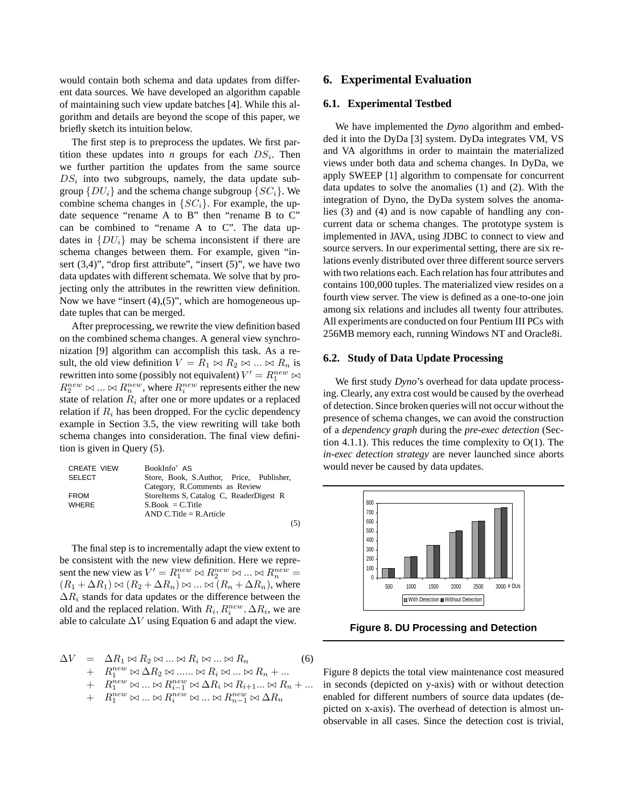would contain both schema and data updates from different data sources. We have developed an algorithm capable of maintaining such view update batches [4]. While this algorithm and details are beyond the scope of this paper, we briefly sketch its intuition below.

The first step is to preprocess the updates. We first partition these updates into *n* groups for each  $DS_i$ . Then we further partition the updates from the same source  $DS_i$  into two subgroups, namely, the data update subgroup  $\{DU_i\}$  and the schema change subgroup  $\{SC_i\}$ . We combine schema changes in  $\{SC_i\}$ . For example, the update sequence "rename A to B" then "rename B to C" can be combined to "rename A to C". The data updates in  $\{DU_i\}$  may be schema inconsistent if there are schema changes between them. For example, given "insert  $(3,4)$ ", "drop first attribute", "insert  $(5)$ ", we have two data updates with different schemata. We solve that by projecting only the attributes in the rewritten view definition. Now we have "insert  $(4)$ , $(5)$ ", which are homogeneous update tuples that can be merged.

After preprocessing, we rewrite the view definition based on the combined schema changes. A general view synchronization [9] algorithm can accomplish this task. As a result, the old view definition  $V = R_1 \bowtie R_2 \bowtie ... \bowtie R_n$  is rewritten into some (possibly not equivalent)  $V' = R_1^{new} \bowtie$  $R_2^{new} \bowtie \dots \bowtie R_n^{new}$ , where  $R_i^{new}$  represents either the new state of relation  $R_i$  after one or more updates or a replaced relation if  $R_i$  has been dropped. For the cyclic dependency example in Section 3.5, the view rewriting will take both schema changes into consideration. The final view definition is given in Query (5).

| <b>CREATE VIEW</b> | BookInfo' AS                             |
|--------------------|------------------------------------------|
| <b>SELECT</b>      | Store, Book, S.Author, Price, Publisher, |
|                    | Category, R.Comments as Review           |
| <b>FROM</b>        | StoreItems S, Catalog C, ReaderDigest R  |
| <b>WHERE</b>       | $S_{.}Book = C_{.}Title$                 |
|                    | AND C. Title $=$ R. Article              |
|                    |                                          |

The final step is to incrementally adapt the view extent to be consistent with the new view definition. Here we represent the new view as  $V' = R_1^{new} \bowtie R_2^{new} \bowtie ... \bowtie R_n^{new}$  $(R_1 + \Delta R_1) \bowtie (R_2 + \Delta R_n) \bowtie ... \bowtie (R_n + \Delta R_n)$ , where  $\Delta R_i$  stands for data updates or the difference between the old and the replaced relation. With  $R_i, R_i^{new}, \Delta R_i$ , we are able to calculate  $\Delta V$  using Equation 6 and adapt the view.

$$
\Delta V = \Delta R_1 \bowtie R_2 \bowtie \dots \bowtie R_i \bowtie \dots \bowtie R_n
$$
\n
$$
+ R_1^{new} \bowtie \Delta R_2 \bowtie \dots \bowtie R_i \bowtie \dots \bowtie R_n + \dots
$$
\n
$$
+ R_1^{new} \bowtie \dots \bowtie R_{i-1}^{new} \bowtie \Delta R_i \bowtie R_{i+1} \dots \bowtie R_n + \dots
$$
\n
$$
+ R_1^{new} \bowtie \dots \bowtie R_i^{new} \bowtie \dots \bowtie R_{n-1}^{new} \bowtie \Delta R_n
$$
\n(6)

### **6. Experimental Evaluation**

#### **6.1. Experimental Testbed**

We have implemented the *Dyno* algorithm and embedded it into the DyDa [3] system. DyDa integrates VM, VS and VA algorithms in order to maintain the materialized views under both data and schema changes. In DyDa, we apply SWEEP [1] algorithm to compensate for concurrent data updates to solve the anomalies (1) and (2). With the integration of Dyno, the DyDa system solves the anomalies (3) and (4) and is now capable of handling any concurrent data or schema changes. The prototype system is implemented in JAVA, using JDBC to connect to view and source servers. In our experimental setting, there are six relations evenly distributed over three different source servers with two relations each. Each relation has four attributes and contains 100,000 tuples. The materialized view resides on a fourth view server. The view is defined as a one-to-one join among six relations and includes all twenty four attributes. All experiments are conducted on four Pentium III PCs with 256MB memory each, running Windows NT and Oracle8i.

### **6.2. Study of Data Update Processing**

We first study *Dyno*'s overhead for data update processing. Clearly, any extra cost would be caused by the overhead of detection. Since broken queries will not occur without the presence of schema changes, we can avoid the construction of a *dependency graph* during the *pre-exec detection* (Section 4.1.1). This reduces the time complexity to  $O(1)$ . The *in-exec detection strategy* are never launched since aborts would never be caused by data updates.



**Figure 8. DU Processing and Detection**

Figure 8 depicts the total view maintenance cost measured in seconds (depicted on y-axis) with or without detection enabled for different numbers of source data updates (depicted on x-axis). The overhead of detection is almost unobservable in all cases. Since the detection cost is trivial,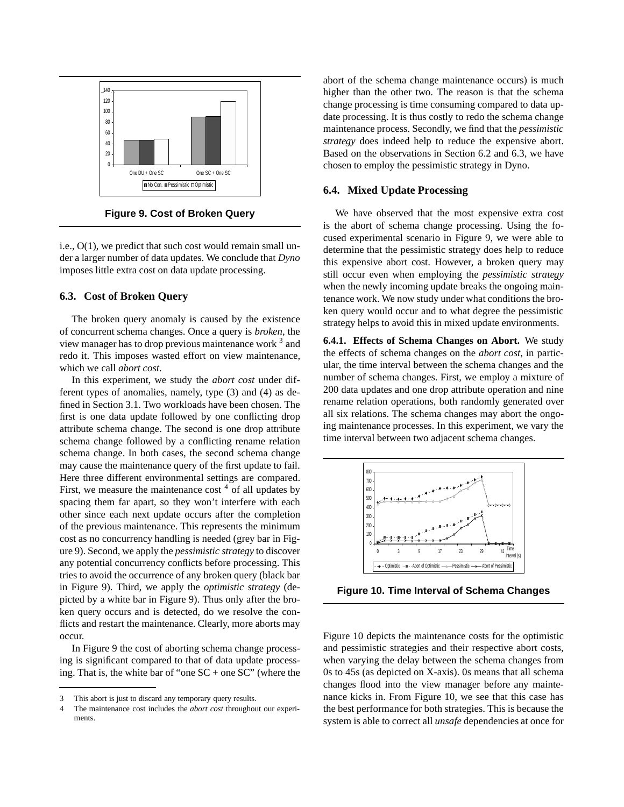

**Figure 9. Cost of Broken Query**

i.e., O(1), we predict that such cost would remain small under a larger number of data updates. We conclude that *Dyno* imposes little extra cost on data update processing.

### **6.3. Cost of Broken Query**

The broken query anomaly is caused by the existence of concurrent schema changes. Once a query is *broken*, the view manager has to drop previous maintenance work <sup>3</sup> and redo it. This imposes wasted effort on view maintenance, which we call *abort cost*.

In this experiment, we study the *abort cost* under different types of anomalies, namely, type (3) and (4) as defined in Section 3.1. Two workloads have been chosen. The first is one data update followed by one conflicting drop attribute schema change. The second is one drop attribute schema change followed by a conflicting rename relation schema change. In both cases, the second schema change may cause the maintenance query of the first update to fail. Here three different environmental settings are compared. First, we measure the maintenance cost  $4$  of all updates by spacing them far apart, so they won't interfere with each other since each next update occurs after the completion of the previous maintenance. This represents the minimum cost as no concurrency handling is needed (grey bar in Figure 9). Second, we apply the *pessimistic strategy* to discover any potential concurrency conflicts before processing. This tries to avoid the occurrence of any broken query (black bar in Figure 9). Third, we apply the *optimistic strategy* (depicted by a white bar in Figure 9). Thus only after the broken query occurs and is detected, do we resolve the conflicts and restart the maintenance. Clearly, more aborts may occur.

In Figure 9 the cost of aborting schema change processing is significant compared to that of data update processing. That is, the white bar of "one  $SC +$  one  $SC$ " (where the

abort of the schema change maintenance occurs) is much higher than the other two. The reason is that the schema change processing is time consuming compared to data update processing. It is thus costly to redo the schema change maintenance process. Secondly, we find that the *pessimistic strategy* does indeed help to reduce the expensive abort. Based on the observations in Section 6.2 and 6.3, we have chosen to employ the pessimistic strategy in Dyno.

### **6.4. Mixed Update Processing**

We have observed that the most expensive extra cost is the abort of schema change processing. Using the focused experimental scenario in Figure 9, we were able to determine that the pessimistic strategy does help to reduce this expensive abort cost. However, a broken query may still occur even when employing the *pessimistic strategy* when the newly incoming update breaks the ongoing maintenance work. We now study under what conditions the broken query would occur and to what degree the pessimistic strategy helps to avoid this in mixed update environments.

**6.4.1. Effects of Schema Changes on Abort.** We study the effects of schema changes on the *abort cost*, in particular, the time interval between the schema changes and the number of schema changes. First, we employ a mixture of 200 data updates and one drop attribute operation and nine rename relation operations, both randomly generated over all six relations. The schema changes may abort the ongoing maintenance processes. In this experiment, we vary the time interval between two adjacent schema changes.



**Figure 10. Time Interval of Schema Changes**

Figure 10 depicts the maintenance costs for the optimistic and pessimistic strategies and their respective abort costs, when varying the delay between the schema changes from 0s to 45s (as depicted on X-axis). 0s means that all schema changes flood into the view manager before any maintenance kicks in. From Figure 10, we see that this case has the best performance for both strategies. This is because the system is able to correct all *unsafe* dependencies at once for

<sup>3</sup> This abort is just to discard any temporary query results.

<sup>4</sup> The maintenance cost includes the *abort cost* throughout our experiments.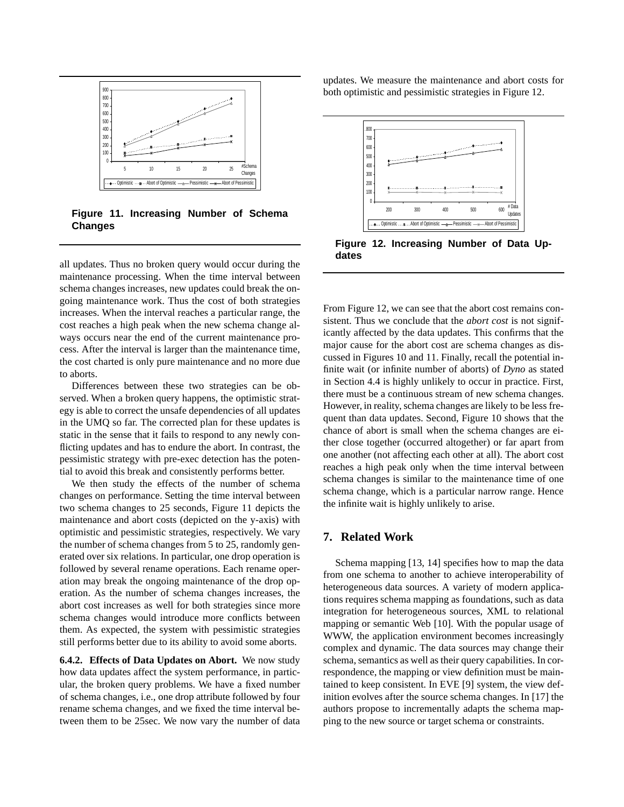

**Figure 11. Increasing Number of Schema Changes**

all updates. Thus no broken query would occur during the maintenance processing. When the time interval between schema changes increases, new updates could break the ongoing maintenance work. Thus the cost of both strategies increases. When the interval reaches a particular range, the cost reaches a high peak when the new schema change always occurs near the end of the current maintenance process. After the interval is larger than the maintenance time, the cost charted is only pure maintenance and no more due to aborts.

Differences between these two strategies can be observed. When a broken query happens, the optimistic strategy is able to correct the unsafe dependencies of all updates in the UMQ so far. The corrected plan for these updates is static in the sense that it fails to respond to any newly conflicting updates and has to endure the abort. In contrast, the pessimistic strategy with pre-exec detection has the potential to avoid this break and consistently performs better.

We then study the effects of the number of schema changes on performance. Setting the time interval between two schema changes to 25 seconds, Figure 11 depicts the maintenance and abort costs (depicted on the y-axis) with optimistic and pessimistic strategies, respectively. We vary the number of schema changes from 5 to 25, randomly generated over six relations. In particular, one drop operation is followed by several rename operations. Each rename operation may break the ongoing maintenance of the drop operation. As the number of schema changes increases, the abort cost increases as well for both strategies since more schema changes would introduce more conflicts between them. As expected, the system with pessimistic strategies still performs better due to its ability to avoid some aborts.

**6.4.2. Effects of Data Updates on Abort.** We now study how data updates affect the system performance, in particular, the broken query problems. We have a fixed number of schema changes, i.e., one drop attribute followed by four rename schema changes, and we fixed the time interval between them to be 25sec. We now vary the number of data

updates. We measure the maintenance and abort costs for both optimistic and pessimistic strategies in Figure 12.



**Figure 12. Increasing Number of Data Updates**

From Figure 12, we can see that the abort cost remains consistent. Thus we conclude that the *abort cost* is not significantly affected by the data updates. This confirms that the major cause for the abort cost are schema changes as discussed in Figures 10 and 11. Finally, recall the potential infinite wait (or infinite number of aborts) of *Dyno* as stated in Section 4.4 is highly unlikely to occur in practice. First, there must be a continuous stream of new schema changes. However, in reality, schema changes are likely to be less frequent than data updates. Second, Figure 10 shows that the chance of abort is small when the schema changes are either close together (occurred altogether) or far apart from one another (not affecting each other at all). The abort cost reaches a high peak only when the time interval between schema changes is similar to the maintenance time of one schema change, which is a particular narrow range. Hence the infinite wait is highly unlikely to arise.

# **7. Related Work**

Schema mapping [13, 14] specifies how to map the data from one schema to another to achieve interoperability of heterogeneous data sources. A variety of modern applications requires schema mapping as foundations, such as data integration for heterogeneous sources, XML to relational mapping or semantic Web [10]. With the popular usage of WWW, the application environment becomes increasingly complex and dynamic. The data sources may change their schema, semantics as well as their query capabilities. In correspondence, the mapping or view definition must be maintained to keep consistent. In EVE [9] system, the view definition evolves after the source schema changes. In [17] the authors propose to incrementally adapts the schema mapping to the new source or target schema or constraints.